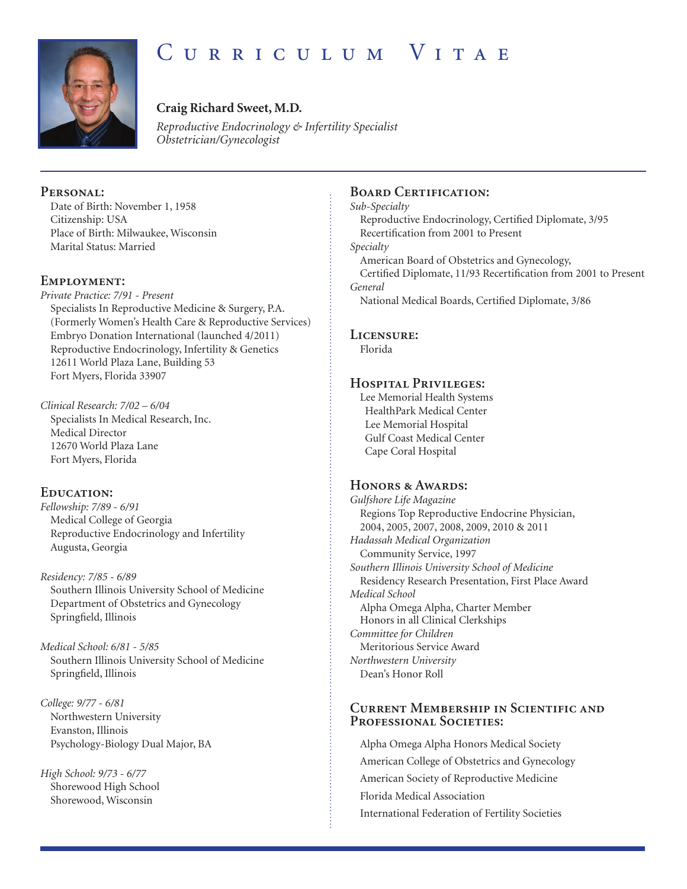

# CURRICULUM VITAE

## **Craig Richard Sweet, M.D.**

*Reproductive Endocrinology & Infertility Specialist Obstetrician/Gynecologist*

#### **Personal:**

Date of Birth: November 1, 1958 Citizenship: USA Place of Birth: Milwaukee, Wisconsin Marital Status: Married

#### **Employment:**

*Private Practice: 7/91 - Present* Specialists In Reproductive Medicine & Surgery, P.A. (Formerly Women's Health Care & Reproductive Services) Embryo Donation International (launched 4/2011) Reproductive Endocrinology, Infertility & Genetics 12611 World Plaza Lane, Building 53 Fort Myers, Florida 33907

*Clinical Research: 7/02 – 6/04* Specialists In Medical Research, Inc. Medical Director 12670 World Plaza Lane Fort Myers, Florida

## **Education:**

*Fellowship: 7/89 - 6/91* Medical College of Georgia Reproductive Endocrinology and Infertility Augusta, Georgia

*Residency: 7/85 - 6/89* Southern Illinois University School of Medicine Department of Obstetrics and Gynecology Springfield, Illinois

*Medical School: 6/81 - 5/85* Southern Illinois University School of Medicine Springfield, Illinois

*College: 9/77 - 6/81* Northwestern University Evanston, Illinois Psychology-Biology Dual Major, BA

*High School: 9/73 - 6/77* Shorewood High School Shorewood, Wisconsin

## **Board Certification:**

*Sub-Specialty* Reproductive Endocrinology, Certified Diplomate, 3/95 Recertification from 2001 to Present *Specialty* American Board of Obstetrics and Gynecology, Certified Diplomate, 11/93 Recertification from 2001 to Present *General* National Medical Boards, Certified Diplomate, 3/86

#### **Licensure:**

Florida

## **Hospital Privileges:**

Lee Memorial Health Systems HealthPark Medical Center Lee Memorial Hospital Gulf Coast Medical Center Cape Coral Hospital

### **Honors & Awards:**

*Gulfshore Life Magazine* Regions Top Reproductive Endocrine Physician, 2004, 2005, 2007, 2008, 2009, 2010 & 2011 *Hadassah Medical Organization* Community Service, 1997 *Southern Illinois University School of Medicine* Residency Research Presentation, First Place Award *Medical School* Alpha Omega Alpha, Charter Member Honors in all Clinical Clerkships *Committee for Children* Meritorious Service Award *Northwestern University* Dean's Honor Roll

## **Current Membership in Scientific and Professional Societies:**

Alpha Omega Alpha Honors Medical Society American College of Obstetrics and Gynecology American Society of Reproductive Medicine Florida Medical Association International Federation of Fertility Societies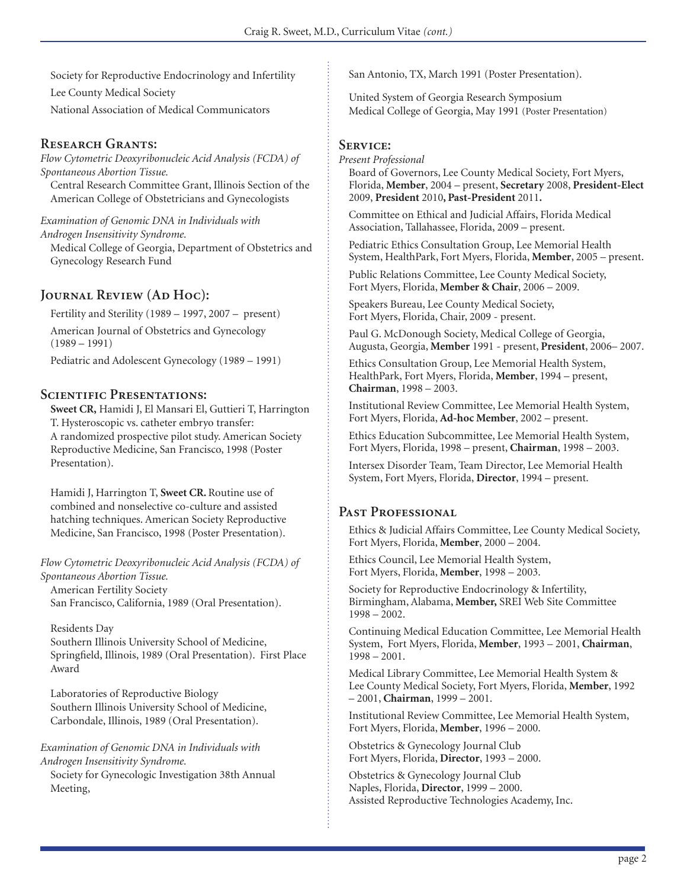Society for Reproductive Endocrinology and Infertility Lee County Medical Society

National Association of Medical Communicators

## **Research Grants:**

*Flow Cytometric Deoxyribonucleic Acid Analysis (FCDA) of Spontaneous Abortion Tissue.*

Central Research Committee Grant, Illinois Section of the American College of Obstetricians and Gynecologists

*Examination of Genomic DNA in Individuals with Androgen Insensitivity Syndrome.* Medical College of Georgia, Department of Obstetrics and Gynecology Research Fund

# **JOURNAL REVIEW (AD HOC):**

Fertility and Sterility (1989 – 1997, 2007 – present) American Journal of Obstetrics and Gynecology (1989 – 1991)

Pediatric and Adolescent Gynecology (1989 – 1991)

### **Scientific Presentations:**

**Sweet CR,** Hamidi J, El Mansari El, Guttieri T, Harrington T. Hysteroscopic vs. catheter embryo transfer: A randomized prospective pilot study. American Society Reproductive Medicine, San Francisco, 1998 (Poster Presentation).

Hamidi J, Harrington T, **Sweet CR.** Routine use of combined and nonselective co-culture and assisted hatching techniques. American Society Reproductive Medicine, San Francisco, 1998 (Poster Presentation).

*Flow Cytometric Deoxyribonucleic Acid Analysis (FCDA) of Spontaneous Abortion Tissue.* American Fertility Society

San Francisco, California, 1989 (Oral Presentation).

### Residents Day

Southern Illinois University School of Medicine, Springfield, Illinois, 1989 (Oral Presentation). First Place Award

Laboratories of Reproductive Biology Southern Illinois University School of Medicine, Carbondale, Illinois, 1989 (Oral Presentation).

*Examination of Genomic DNA in Individuals with Androgen Insensitivity Syndrome.* Society for Gynecologic Investigation 38th Annual Meeting,

San Antonio, TX, March 1991 (Poster Presentation).

United System of Georgia Research Symposium Medical College of Georgia, May 1991 (Poster Presentation)

## **Service:**

*Present Professional*

Board of Governors, Lee County Medical Society, Fort Myers, Florida, **Member**, 2004 – present, **Secretary** 2008, **President-Elect** 2009, **President** 2010**, Past-President** 2011**.**

Committee on Ethical and Judicial Affairs, Florida Medical Association, Tallahassee, Florida, 2009 – present.

Pediatric Ethics Consultation Group, Lee Memorial Health System, HealthPark, Fort Myers, Florida, **Member**, 2005 – present.

Public Relations Committee, Lee County Medical Society, Fort Myers, Florida, **Member & Chair**, 2006 – 2009.

Speakers Bureau, Lee County Medical Society, Fort Myers, Florida, Chair, 2009 - present.

Paul G. McDonough Society, Medical College of Georgia, Augusta, Georgia, **Member** 1991 - present, **President**, 2006– 2007.

Ethics Consultation Group, Lee Memorial Health System, HealthPark, Fort Myers, Florida, **Member**, 1994 – present, **Chairman**, 1998 – 2003.

Institutional Review Committee, Lee Memorial Health System, Fort Myers, Florida, **Ad-hoc Member**, 2002 – present.

Ethics Education Subcommittee, Lee Memorial Health System, Fort Myers, Florida, 1998 – present, **Chairman**, 1998 – 2003.

Intersex Disorder Team, Team Director, Lee Memorial Health System, Fort Myers, Florida, **Director**, 1994 – present.

# **Past Professional**

Ethics & Judicial Affairs Committee, Lee County Medical Society, Fort Myers, Florida, **Member**, 2000 – 2004.

Ethics Council, Lee Memorial Health System, Fort Myers, Florida, **Member**, 1998 – 2003.

Society for Reproductive Endocrinology & Infertility, Birmingham, Alabama, **Member,** SREI Web Site Committee 1998 – 2002.

Continuing Medical Education Committee, Lee Memorial Health System, Fort Myers, Florida, **Member**, 1993 – 2001, **Chairman**, 1998 – 2001.

Medical Library Committee, Lee Memorial Health System & Lee County Medical Society, Fort Myers, Florida, **Member**, 1992 – 2001, **Chairman**, 1999 – 2001.

Institutional Review Committee, Lee Memorial Health System, Fort Myers, Florida, **Member**, 1996 – 2000.

Obstetrics & Gynecology Journal Club Fort Myers, Florida, **Director**, 1993 – 2000.

Obstetrics & Gynecology Journal Club Naples, Florida, **Director**, 1999 – 2000. Assisted Reproductive Technologies Academy, Inc.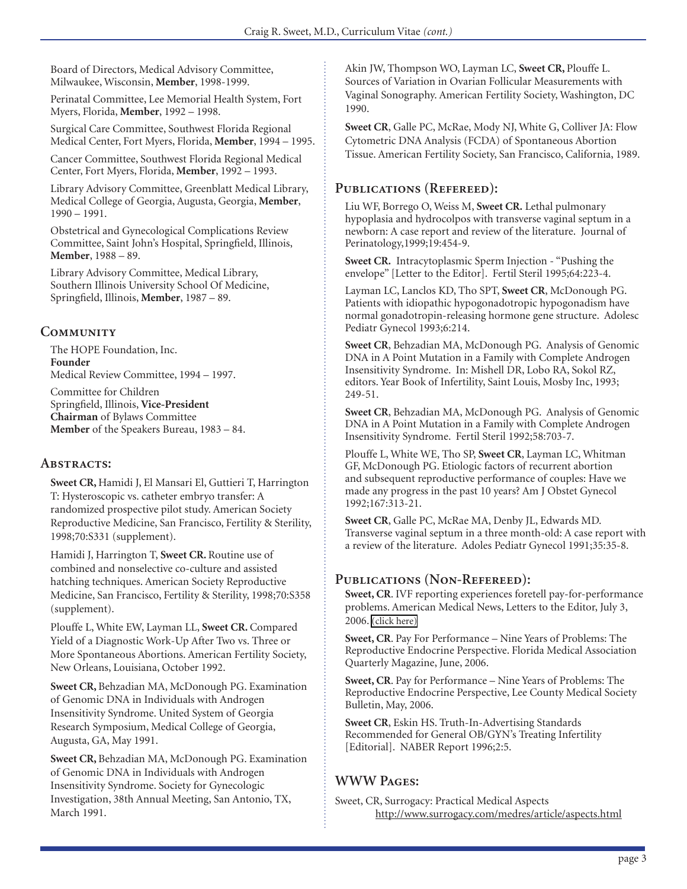Board of Directors, Medical Advisory Committee, Milwaukee, Wisconsin, **Member**, 1998-1999.

Perinatal Committee, Lee Memorial Health System, Fort Myers, Florida, **Member**, 1992 – 1998.

Surgical Care Committee, Southwest Florida Regional Medical Center, Fort Myers, Florida, **Member**, 1994 – 1995.

Cancer Committee, Southwest Florida Regional Medical Center, Fort Myers, Florida, **Member**, 1992 – 1993.

Library Advisory Committee, Greenblatt Medical Library, Medical College of Georgia, Augusta, Georgia, **Member**, 1990 – 1991.

Obstetrical and Gynecological Complications Review Committee, Saint John's Hospital, Springfield, Illinois, **Member**, 1988 – 89.

Library Advisory Committee, Medical Library, Southern Illinois University School Of Medicine, Springfield, Illinois, **Member**, 1987 – 89.

## **Community**

The HOPE Foundation, Inc. **Founder** Medical Review Committee, 1994 – 1997.

Committee for Children Springfield, Illinois, **Vice-President Chairman** of Bylaws Committee **Member** of the Speakers Bureau, 1983 – 84.

### **Abstracts:**

**Sweet CR,** Hamidi J, El Mansari El, Guttieri T, Harrington T: Hysteroscopic vs. catheter embryo transfer: A randomized prospective pilot study. American Society Reproductive Medicine, San Francisco, Fertility & Sterility, 1998;70:S331 (supplement).

Hamidi J, Harrington T, **Sweet CR.** Routine use of combined and nonselective co-culture and assisted hatching techniques. American Society Reproductive Medicine, San Francisco, Fertility & Sterility, 1998;70:S358 (supplement).

Plouffe L, White EW, Layman LL, **Sweet CR.** Compared Yield of a Diagnostic Work-Up After Two vs. Three or More Spontaneous Abortions. American Fertility Society, New Orleans, Louisiana, October 1992.

**Sweet CR,** Behzadian MA, McDonough PG. Examination of Genomic DNA in Individuals with Androgen Insensitivity Syndrome. United System of Georgia Research Symposium, Medical College of Georgia, Augusta, GA, May 1991.

**Sweet CR,** Behzadian MA, McDonough PG. Examination of Genomic DNA in Individuals with Androgen Insensitivity Syndrome. Society for Gynecologic Investigation, 38th Annual Meeting, San Antonio, TX, March 1991.

Akin JW, Thompson WO, Layman LC, **Sweet CR,** Plouffe L. Sources of Variation in Ovarian Follicular Measurements with Vaginal Sonography. American Fertility Society, Washington, DC 1990.

**Sweet CR**, Galle PC, McRae, Mody NJ, White G, Colliver JA: Flow Cytometric DNA Analysis (FCDA) of Spontaneous Abortion Tissue. American Fertility Society, San Francisco, California, 1989.

## **Publications (Refereed):**

Liu WF, Borrego O, Weiss M, **Sweet CR.** Lethal pulmonary hypoplasia and hydrocolpos with transverse vaginal septum in a newborn: A case report and review of the literature. Journal of Perinatology,1999;19:454-9.

**Sweet CR.** Intracytoplasmic Sperm Injection - "Pushing the envelope" [Letter to the Editor]. Fertil Steril 1995;64:223-4.

Layman LC, Lanclos KD, Tho SPT, **Sweet CR**, McDonough PG. Patients with idiopathic hypogonadotropic hypogonadism have normal gonadotropin-releasing hormone gene structure. Adolesc Pediatr Gynecol 1993;6:214.

**Sweet CR**, Behzadian MA, McDonough PG. Analysis of Genomic DNA in A Point Mutation in a Family with Complete Androgen Insensitivity Syndrome. In: Mishell DR, Lobo RA, Sokol RZ, editors. Year Book of Infertility, Saint Louis, Mosby Inc, 1993; 249-51.

**Sweet CR**, Behzadian MA, McDonough PG. Analysis of Genomic DNA in A Point Mutation in a Family with Complete Androgen Insensitivity Syndrome. Fertil Steril 1992;58:703-7.

Plouffe L, White WE, Tho SP, **Sweet CR**, Layman LC, Whitman GF, McDonough PG. Etiologic factors of recurrent abortion and subsequent reproductive performance of couples: Have we made any progress in the past 10 years? Am J Obstet Gynecol 1992;167:313-21.

**Sweet CR**, Galle PC, McRae MA, Denby JL, Edwards MD. Transverse vaginal septum in a three month-old: A case report with a review of the literature. Adoles Pediatr Gynecol 1991;35:35-8.

## **Publications (Non-Refereed):**

**Sweet, CR**. IVF reporting experiences foretell pay-for-performance problems. American Medical News, Letters to the Editor, July 3, 2006. [\(click here\)](http://www.ama-assn.org/amednews/2006/07/03/edlt0703.htm)

**Sweet, CR**. Pay For Performance – Nine Years of Problems: The Reproductive Endocrine Perspective. Florida Medical Association Quarterly Magazine, June, 2006.

**Sweet, CR**. Pay for Performance – Nine Years of Problems: The Reproductive Endocrine Perspective, Lee County Medical Society Bulletin, May, 2006.

**Sweet CR**, Eskin HS. Truth-In-Advertising Standards Recommended for General OB/GYN's Treating Infertility [Editorial]. NABER Report 1996;2:5.

# **WWW Pages:**

Sweet, CR, Surrogacy: Practical Medical Aspects <http://www.surrogacy.com/medres/article/aspects.html>